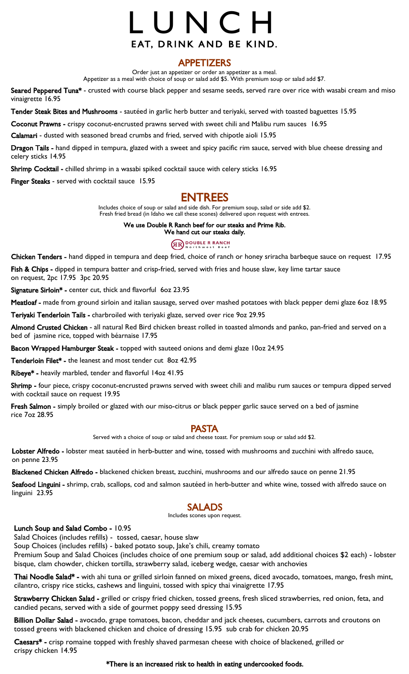# L U N C H EAT, DRINK AND BE KIND.

## APPETIZERS

Order just an appetizer or order an appetizer as a meal.

Appetizer as a meal with choice of soup or salad add \$5. With premium soup or salad add \$7.

Seared Peppered Tuna\* - crusted with course black pepper and sesame seeds, served rare over rice with wasabi cream and miso vinaigrette 16.95

Tender Steak Bites and Mushrooms - sautéed in garlic herb butter and teriyaki, served with toasted baguettes 15.95

Coconut Prawns - crispy coconut-encrusted prawns served with sweet chili and Malibu rum sauces 16.95

Calamari - dusted with seasoned bread crumbs and fried, served with chipotle aioli 15.95

Dragon Tails - hand dipped in tempura, glazed with a sweet and spicy pacific rim sauce, served with blue cheese dressing and celery sticks 14.95

Shrimp Cocktail - chilled shrimp in a wasabi spiked cocktail sauce with celery sticks 16.95

Finger Steaks - served with cocktail sauce 15.95

# ENTREES

Includes choice of soup or salad and side dish. For premium soup, salad or side add \$2. Fresh fried bread (in Idaho we call these scones) delivered upon request with entrees.

> We use Double R Ranch beef for our steaks and Prime Rib. We hand cut our steaks daily.

# **GRO DOUBLE R RANCH**

Chicken Tenders - hand dipped in tempura and deep fried, choice of ranch or honey sriracha barbeque sauce on request 17.95

Fish & Chips - dipped in tempura batter and crisp-fried, served with fries and house slaw, key lime tartar sauce on request, 2pc 17.95 3pc 20.95

Signature Sirloin\* - center cut, thick and flavorful 60z 23.95

Meatloaf - made from ground sirloin and italian sausage, served over mashed potatoes with black pepper demi glaze 60z 18.95

Teriyaki Tenderloin Tails - charbroiled with teriyaki glaze, served over rice 90z 29.95

Almond Crusted Chicken - all natural Red Bird chicken breast rolled in toasted almonds and panko, pan-fried and served on a bed of jasmine rice, topped with béarnaise 17.95

Bacon Wrapped Hamburger Steak - topped with sauteed onions and demi glaze 10oz 24.95

Tenderloin Filet\* - the leanest and most tender cut 80z 42.95

Ribeye\* - heavily marbled, tender and flavorful 14oz 41.95

Shrimp - four piece, crispy coconut-encrusted prawns served with sweet chili and malibu rum sauces or tempura dipped served with cocktail sauce on request 19.95

Fresh Salmon - simply broiled or glazed with our miso-citrus or black pepper garlic sauce served on a bed of jasmine rice 7oz 28.95

## PASTA

Served with a choice of soup or salad and cheese toast. For premium soup or salad add \$2.

Lobster Alfredo - lobster meat sautéed in herb-butter and wine, tossed with mushrooms and zucchini with alfredo sauce, on penne 23.95

Blackened Chicken Alfredo - blackened chicken breast, zucchini, mushrooms and our alfredo sauce on penne 21.95

Seafood Linguini - shrimp, crab, scallops, cod and salmon sautéed in herb-butter and white wine, tossed with alfredo sauce on linguini 23.95

## SALADS

Includes scones upon request.

## Lunch Soup and Salad Combo - 10.95

Salad Choices (includes refills) - tossed, caesar, house slaw

Soup Choices (includes refills) - baked potato soup, Jake's chili, creamy tomato

Premium Soup and Salad Choices (includes choice of one premium soup or salad, add additional choices \$2 each) - lobster bisque, clam chowder, chicken tortilla, strawberry salad, iceberg wedge, caesar with anchovies

Thai Noodle Salad\* - with ahi tuna or grilled sirloin fanned on mixed greens, diced avocado, tomatoes, mango, fresh mint, cilantro, crispy rice sticks, cashews and linguini, tossed with spicy thai vinaigrette 17.95

Strawberry Chicken Salad - grilled or crispy fried chicken, tossed greens, fresh sliced strawberries, red onion, feta, and candied pecans, served with a side of gourmet poppy seed dressing 15.95

Billion Dollar Salad - avocado, grape tomatoes, bacon, cheddar and jack cheeses, cucumbers, carrots and croutons on tossed greens with blackened chicken and choice of dressing 15.95 sub crab for chicken 20.95

Caesars\* - crisp romaine topped with freshly shaved parmesan cheese with choice of blackened, grilled or crispy chicken 14.95

## \*There is an increased risk to health in eating undercooked foods.